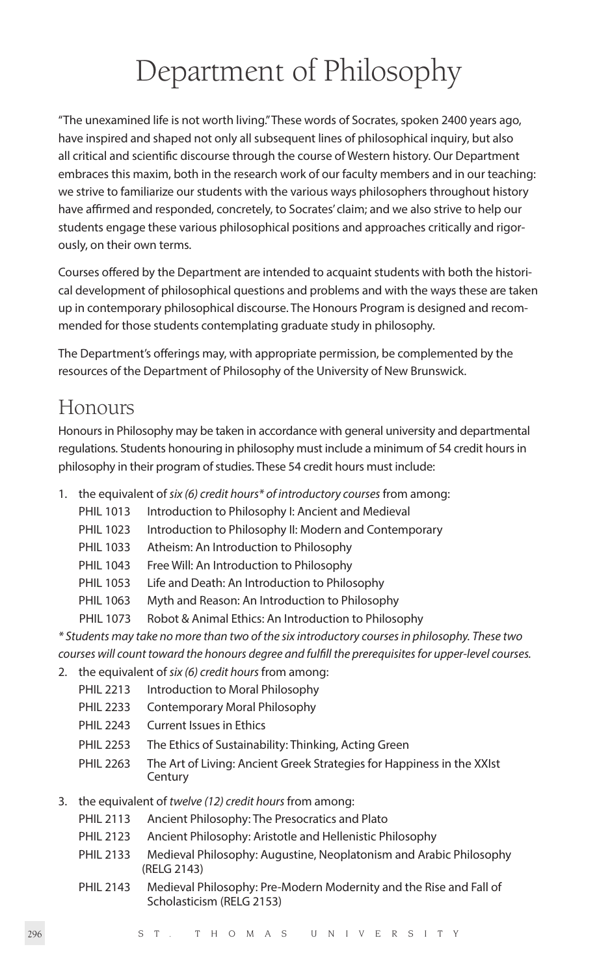# Department of Philosophy

"The unexamined life is not worth living." These words of Socrates, spoken 2400 years ago, have inspired and shaped not only all subsequent lines of philosophical inquiry, but also all critical and scientific discourse through the course of Western history. Our Department embraces this maxim, both in the research work of our faculty members and in our teaching: we strive to familiarize our students with the various ways philosophers throughout history have affirmed and responded, concretely, to Socrates' claim; and we also strive to help our students engage these various philosophical positions and approaches critically and rigorously, on their own terms.

Courses offered by the Department are intended to acquaint students with both the historical development of philosophical questions and problems and with the ways these are taken up in contemporary philosophical discourse. The Honours Program is designed and recommended for those students contemplating graduate study in philosophy.

The Department's offerings may, with appropriate permission, be complemented by the resources of the Department of Philosophy of the University of New Brunswick.

# Honours

Honours in Philosophy may be taken in accordance with general university and departmental regulations. Students honouring in philosophy must include a minimum of 54 credit hours in philosophy in their program of studies. These 54 credit hours must include:

- 1. the equivalent of *six (6) credit hours\* of introductory courses* from among:
	- PHIL 1013 Introduction to Philosophy I: Ancient and Medieval
	- PHIL 1023 Introduction to Philosophy II: Modern and Contemporary
	- PHIL 1033 Atheism: An Introduction to Philosophy
	- PHIL 1043 Free Will: An Introduction to Philosophy
	- PHIL 1053 Life and Death: An Introduction to Philosophy
	- PHIL 1063 Myth and Reason: An Introduction to Philosophy
	- PHIL 1073 Robot & Animal Ethics: An Introduction to Philosophy

*\* Students may take no more than two of the six introductory courses in philosophy. These two courses will count toward the honours degree and fulfill the prerequisites for upper-level courses.*

- 2. the equivalent of *six (6) credit hours* from among:
	- PHIL 2213 Introduction to Moral Philosophy
	- PHIL 2233 Contemporary Moral Philosophy
	- PHIL 2243 Current Issues in Ethics
	- PHIL 2253 The Ethics of Sustainability: Thinking, Acting Green
	- PHIL 2263 The Art of Living: Ancient Greek Strategies for Happiness in the XXIst **Century**
- 3. the equivalent of *twelve (12) credit hours* from among:
	- PHIL 2113 Ancient Philosophy: The Presocratics and Plato
	- PHIL 2123 Ancient Philosophy: Aristotle and Hellenistic Philosophy
	- PHIL 2133 Medieval Philosophy: Augustine, Neoplatonism and Arabic Philosophy (RELG 2143)
	- PHIL 2143 Medieval Philosophy: Pre-Modern Modernity and the Rise and Fall of Scholasticism (RELG 2153)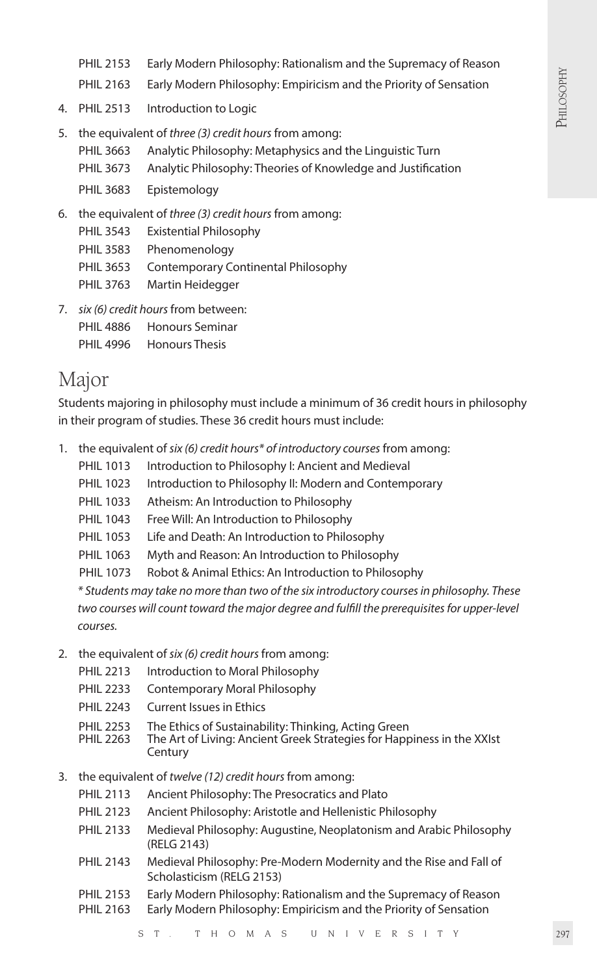- PHIL 2153 Early Modern Philosophy: Rationalism and the Supremacy of Reason
- PHIL 2163 Early Modern Philosophy: Empiricism and the Priority of Sensation
- 4. PHIL 2513 Introduction to Logic
- 5. the equivalent of *three (3) credit hours* from among:
	- PHIL 3663 Analytic Philosophy: Metaphysics and the Linguistic Turn
	- PHIL 3673 Analytic Philosophy: Theories of Knowledge and Justification
	- PHIL 3683 Epistemology
- 6. the equivalent of *three (3) credit hours* from among:
	- PHIL 3543 Existential Philosophy
	- PHIL 3583 Phenomenology
	- PHIL 3653 Contemporary Continental Philosophy
	- PHIL 3763 Martin Heidegger
- 7. *six (6) credit hours* from between: PHIL 4886 Honours Seminar
	- PHIL 4996 Honours Thesis

# Major

Students majoring in philosophy must include a minimum of 36 credit hours in philosophy in their program of studies. These 36 credit hours must include:

- 1. the equivalent of *six (6) credit hours\* of introductory courses* from among:
	- PHIL 1013 Introduction to Philosophy I: Ancient and Medieval
	- PHIL 1023 Introduction to Philosophy II: Modern and Contemporary
	- PHIL 1033 Atheism: An Introduction to Philosophy
	- PHIL 1043 Free Will: An Introduction to Philosophy
	- PHIL 1053 Life and Death: An Introduction to Philosophy
	- PHIL 1063 Myth and Reason: An Introduction to Philosophy
	- PHIL 1073 Robot & Animal Ethics: An Introduction to Philosophy

*\* Students may take no more than two of the six introductory courses in philosophy. These two courses will count toward the major degree and fulfill the prerequisites for upper-level courses.*

- 2. the equivalent of *six (6) credit hours* from among:
	- PHIL 2213 Introduction to Moral Philosophy
	- PHIL 2233 Contemporary Moral Philosophy
	- PHIL 2243 Current Issues in Ethics
	- PHIL 2253 The Ethics of Sustainability: Thinking, Acting Green<br>PHIL 2263 The Art of Living: Ancient Greek Strategies for Happ
	- The Art of Living: Ancient Greek Strategies for Happiness in the XXIst **Century**
- 3. the equivalent of *twelve (12) credit hours* from among:
	- PHIL 2113 Ancient Philosophy: The Presocratics and Plato
	- PHIL 2123 Ancient Philosophy: Aristotle and Hellenistic Philosophy
	- PHIL 2133 Medieval Philosophy: Augustine, Neoplatonism and Arabic Philosophy (RELG 2143)
	- PHIL 2143 Medieval Philosophy: Pre-Modern Modernity and the Rise and Fall of Scholasticism (RELG 2153)
	- PHIL 2153 Early Modern Philosophy: Rationalism and the Supremacy of Reason
	- PHIL 2163 Early Modern Philosophy: Empiricism and the Priority of Sensation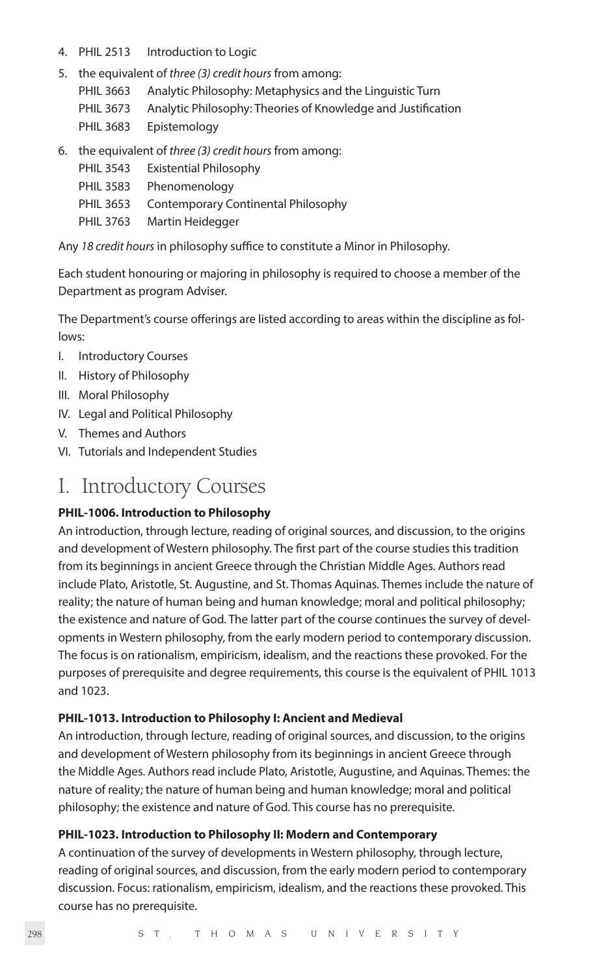- 4. PHIL 2513 Introduction to Logic
- 5. the equivalent of *three (3) credit hours* from among:
	- PHIL 3663 Analytic Philosophy: Metaphysics and the Linguistic Turn
	- PHIL 3673 Analytic Philosophy: Theories of Knowledge and Justification
	- PHIL 3683 Epistemology
- 6. the equivalent of *three (3) credit hours* from among:
	- PHIL 3543 Existential Philosophy
	- PHIL 3583 Phenomenology
	- PHIL 3653 Contemporary Continental Philosophy
	- PHIL 3763 Martin Heidegger

Any *18 credit hours* in philosophy suffice to constitute a Minor in Philosophy.

Each student honouring or majoring in philosophy is required to choose a member of the Department as program Adviser.

The Department's course offerings are listed according to areas within the discipline as follows:

- I. Introductory Courses
- II. History of Philosophy
- III. Moral Philosophy
- IV. Legal and Political Philosophy
- V. Themes and Authors
- VI. Tutorials and Independent Studies

# I. Introductory Courses

#### **PHIL-1006. Introduction to Philosophy**

An introduction, through lecture, reading of original sources, and discussion, to the origins and development of Western philosophy. The first part of the course studies this tradition from its beginnings in ancient Greece through the Christian Middle Ages. Authors read include Plato, Aristotle, St. Augustine, and St. Thomas Aquinas. Themes include the nature of reality; the nature of human being and human knowledge; moral and political philosophy; the existence and nature of God. The latter part of the course continues the survey of developments in Western philosophy, from the early modern period to contemporary discussion. The focus is on rationalism, empiricism, idealism, and the reactions these provoked. For the purposes of prerequisite and degree requirements, this course is the equivalent of PHIL 1013 and 1023.

#### **PHIL-1013. Introduction to Philosophy I: Ancient and Medieval**

An introduction, through lecture, reading of original sources, and discussion, to the origins and development of Western philosophy from its beginnings in ancient Greece through the Middle Ages. Authors read include Plato, Aristotle, Augustine, and Aquinas. Themes: the nature of reality; the nature of human being and human knowledge; moral and political philosophy; the existence and nature of God. This course has no prerequisite.

#### **PHIL-1023. Introduction to Philosophy II: Modern and Contemporary**

A continuation of the survey of developments in Western philosophy, through lecture, reading of original sources, and discussion, from the early modern period to contemporary discussion. Focus: rationalism, empiricism, idealism, and the reactions these provoked. This course has no prerequisite.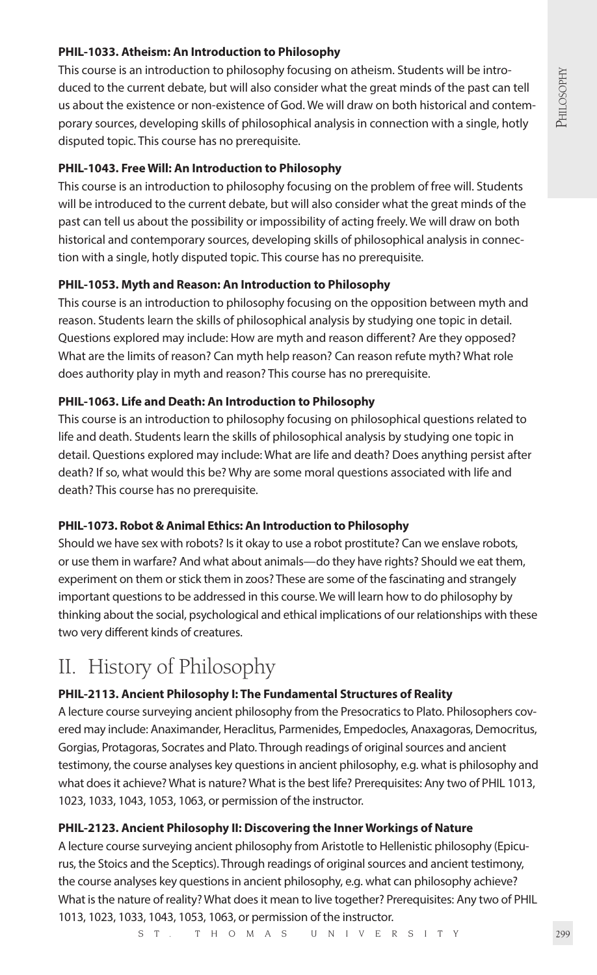# **PHIL-1033. Atheism: An Introduction to Philosophy**

This course is an introduction to philosophy focusing on atheism. Students will be introduced to the current debate, but will also consider what the great minds of the past can tell us about the existence or non-existence of God. We will draw on both historical and contemporary sources, developing skills of philosophical analysis in connection with a single, hotly disputed topic. This course has no prerequisite.

### **PHIL-1043. Free Will: An Introduction to Philosophy**

This course is an introduction to philosophy focusing on the problem of free will. Students will be introduced to the current debate, but will also consider what the great minds of the past can tell us about the possibility or impossibility of acting freely. We will draw on both historical and contemporary sources, developing skills of philosophical analysis in connection with a single, hotly disputed topic. This course has no prerequisite.

# **PHIL-1053. Myth and Reason: An Introduction to Philosophy**

This course is an introduction to philosophy focusing on the opposition between myth and reason. Students learn the skills of philosophical analysis by studying one topic in detail. Questions explored may include: How are myth and reason different? Are they opposed? What are the limits of reason? Can myth help reason? Can reason refute myth? What role does authority play in myth and reason? This course has no prerequisite.

### **PHIL-1063. Life and Death: An Introduction to Philosophy**

This course is an introduction to philosophy focusing on philosophical questions related to life and death. Students learn the skills of philosophical analysis by studying one topic in detail. Questions explored may include: What are life and death? Does anything persist after death? If so, what would this be? Why are some moral questions associated with life and death? This course has no prerequisite.

# **PHIL-1073. Robot & Animal Ethics: An Introduction to Philosophy**

Should we have sex with robots? Is it okay to use a robot prostitute? Can we enslave robots, or use them in warfare? And what about animals—do they have rights? Should we eat them, experiment on them or stick them in zoos? These are some of the fascinating and strangely important questions to be addressed in this course. We will learn how to do philosophy by thinking about the social, psychological and ethical implications of our relationships with these two very different kinds of creatures.

# II. History of Philosophy

# **PHIL-2113. Ancient Philosophy I: The Fundamental Structures of Reality**

A lecture course surveying ancient philosophy from the Presocratics to Plato. Philosophers covered may include: Anaximander, Heraclitus, Parmenides, Empedocles, Anaxagoras, Democritus, Gorgias, Protagoras, Socrates and Plato. Through readings of original sources and ancient testimony, the course analyses key questions in ancient philosophy, e.g. what is philosophy and what does it achieve? What is nature? What is the best life? Prerequisites: Any two of PHIL 1013, 1023, 1033, 1043, 1053, 1063, or permission of the instructor.

# **PHIL-2123. Ancient Philosophy II: Discovering the Inner Workings of Nature**

A lecture course surveying ancient philosophy from Aristotle to Hellenistic philosophy (Epicurus, the Stoics and the Sceptics). Through readings of original sources and ancient testimony, the course analyses key questions in ancient philosophy, e.g. what can philosophy achieve? What is the nature of reality? What does it mean to live together? Prerequisites: Any two of PHIL 1013, 1023, 1033, 1043, 1053, 1063, or permission of the instructor.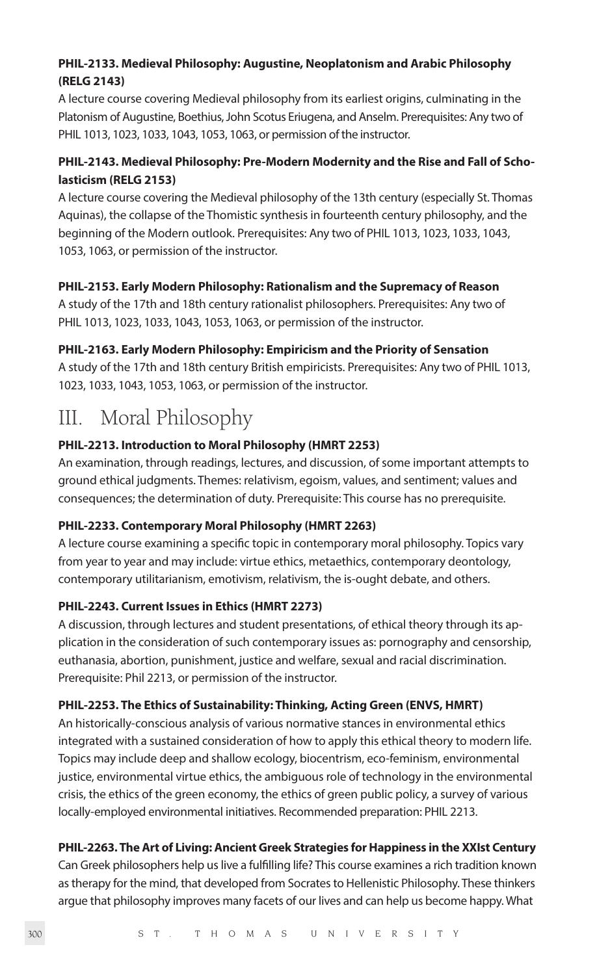# **PHIL-2133. Medieval Philosophy: Augustine, Neoplatonism and Arabic Philosophy (RELG 2143)**

A lecture course covering Medieval philosophy from its earliest origins, culminating in the Platonism of Augustine, Boethius, John Scotus Eriugena, and Anselm. Prerequisites: Any two of PHIL 1013, 1023, 1033, 1043, 1053, 1063, or permission of the instructor.

# **PHIL-2143. Medieval Philosophy: Pre-Modern Modernity and the Rise and Fall of Scholasticism (RELG 2153)**

A lecture course covering the Medieval philosophy of the 13th century (especially St. Thomas Aquinas), the collapse of the Thomistic synthesis in fourteenth century philosophy, and the beginning of the Modern outlook. Prerequisites: Any two of PHIL 1013, 1023, 1033, 1043, 1053, 1063, or permission of the instructor.

# **PHIL-2153. Early Modern Philosophy: Rationalism and the Supremacy of Reason**

A study of the 17th and 18th century rationalist philosophers. Prerequisites: Any two of PHIL 1013, 1023, 1033, 1043, 1053, 1063, or permission of the instructor.

### **PHIL-2163. Early Modern Philosophy: Empiricism and the Priority of Sensation**

A study of the 17th and 18th century British empiricists. Prerequisites: Any two of PHIL 1013, 1023, 1033, 1043, 1053, 1063, or permission of the instructor.

# III. Moral Philosophy

# **PHIL-2213. Introduction to Moral Philosophy (HMRT 2253)**

An examination, through readings, lectures, and discussion, of some important attempts to ground ethical judgments. Themes: relativism, egoism, values, and sentiment; values and consequences; the determination of duty. Prerequisite: This course has no prerequisite.

# **PHIL-2233. Contemporary Moral Philosophy (HMRT 2263)**

A lecture course examining a specific topic in contemporary moral philosophy. Topics vary from year to year and may include: virtue ethics, metaethics, contemporary deontology, contemporary utilitarianism, emotivism, relativism, the is-ought debate, and others.

# **PHIL-2243. Current Issues in Ethics (HMRT 2273)**

A discussion, through lectures and student presentations, of ethical theory through its application in the consideration of such contemporary issues as: pornography and censorship, euthanasia, abortion, punishment, justice and welfare, sexual and racial discrimination. Prerequisite: Phil 2213, or permission of the instructor.

# **PHIL-2253. The Ethics of Sustainability: Thinking, Acting Green (ENVS, HMRT)**

An historically-conscious analysis of various normative stances in environmental ethics integrated with a sustained consideration of how to apply this ethical theory to modern life. Topics may include deep and shallow ecology, biocentrism, eco-feminism, environmental justice, environmental virtue ethics, the ambiguous role of technology in the environmental crisis, the ethics of the green economy, the ethics of green public policy, a survey of various locally-employed environmental initiatives. Recommended preparation: PHIL 2213.

# **PHIL-2263. The Art of Living: Ancient Greek Strategies for Happiness in the XXIst Century**

Can Greek philosophers help us live a fulfilling life? This course examines a rich tradition known as therapy for the mind, that developed from Socrates to Hellenistic Philosophy. These thinkers argue that philosophy improves many facets of our lives and can help us become happy. What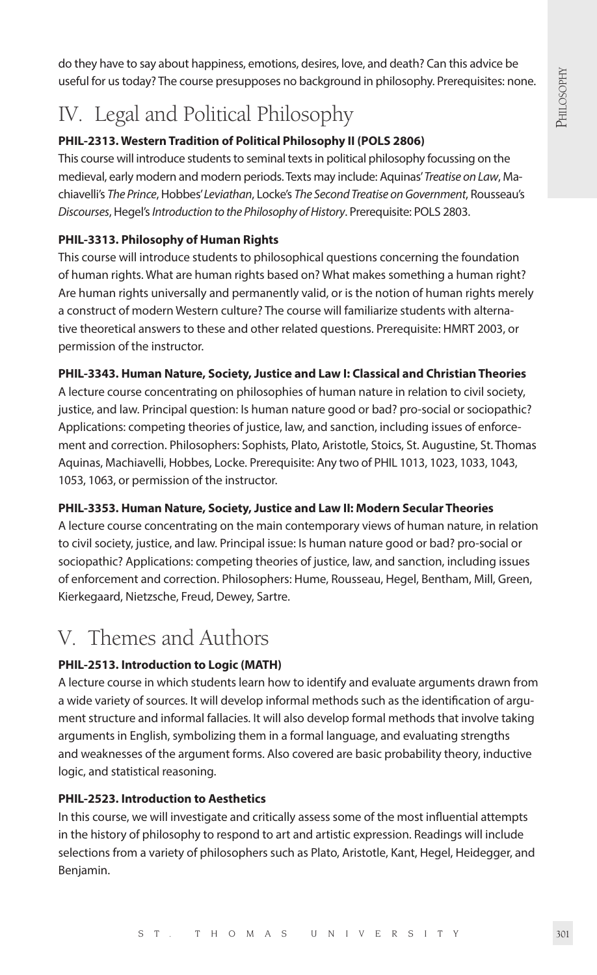do they have to say about happiness, emotions, desires, love, and death? Can this advice be useful for us today? The course presupposes no background in philosophy. Prerequisites: none.

# IV. Legal and Political Philosophy

# **PHIL-2313. Western Tradition of Political Philosophy II (POLS 2806)**

This course will introduce students to seminal texts in political philosophy focussing on the medieval, early modern and modern periods. Texts may include: Aquinas' *Treatise on Law*, Machiavelli's *The Prince*, Hobbes' *Leviathan*, Locke's *The Second Treatise on Government*, Rousseau's *Discourses*, Hegel's *Introduction to the Philosophy of History*. Prerequisite: POLS 2803.

# **PHIL-3313. Philosophy of Human Rights**

This course will introduce students to philosophical questions concerning the foundation of human rights. What are human rights based on? What makes something a human right? Are human rights universally and permanently valid, or is the notion of human rights merely a construct of modern Western culture? The course will familiarize students with alternative theoretical answers to these and other related questions. Prerequisite: HMRT 2003, or permission of the instructor.

# **PHIL-3343. Human Nature, Society, Justice and Law I: Classical and Christian Theories**

A lecture course concentrating on philosophies of human nature in relation to civil society, justice, and law. Principal question: Is human nature good or bad? pro-social or sociopathic? Applications: competing theories of justice, law, and sanction, including issues of enforcement and correction. Philosophers: Sophists, Plato, Aristotle, Stoics, St. Augustine, St. Thomas Aquinas, Machiavelli, Hobbes, Locke. Prerequisite: Any two of PHIL 1013, 1023, 1033, 1043, 1053, 1063, or permission of the instructor.

# **PHIL-3353. Human Nature, Society, Justice and Law II: Modern Secular Theories**

A lecture course concentrating on the main contemporary views of human nature, in relation to civil society, justice, and law. Principal issue: Is human nature good or bad? pro-social or sociopathic? Applications: competing theories of justice, law, and sanction, including issues of enforcement and correction. Philosophers: Hume, Rousseau, Hegel, Bentham, Mill, Green, Kierkegaard, Nietzsche, Freud, Dewey, Sartre.

# V. Themes and Authors

# **PHIL-2513. Introduction to Logic (MATH)**

A lecture course in which students learn how to identify and evaluate arguments drawn from a wide variety of sources. It will develop informal methods such as the identification of argument structure and informal fallacies. It will also develop formal methods that involve taking arguments in English, symbolizing them in a formal language, and evaluating strengths and weaknesses of the argument forms. Also covered are basic probability theory, inductive logic, and statistical reasoning.

# **PHIL-2523. Introduction to Aesthetics**

In this course, we will investigate and critically assess some of the most influential attempts in the history of philosophy to respond to art and artistic expression. Readings will include selections from a variety of philosophers such as Plato, Aristotle, Kant, Hegel, Heidegger, and Benjamin.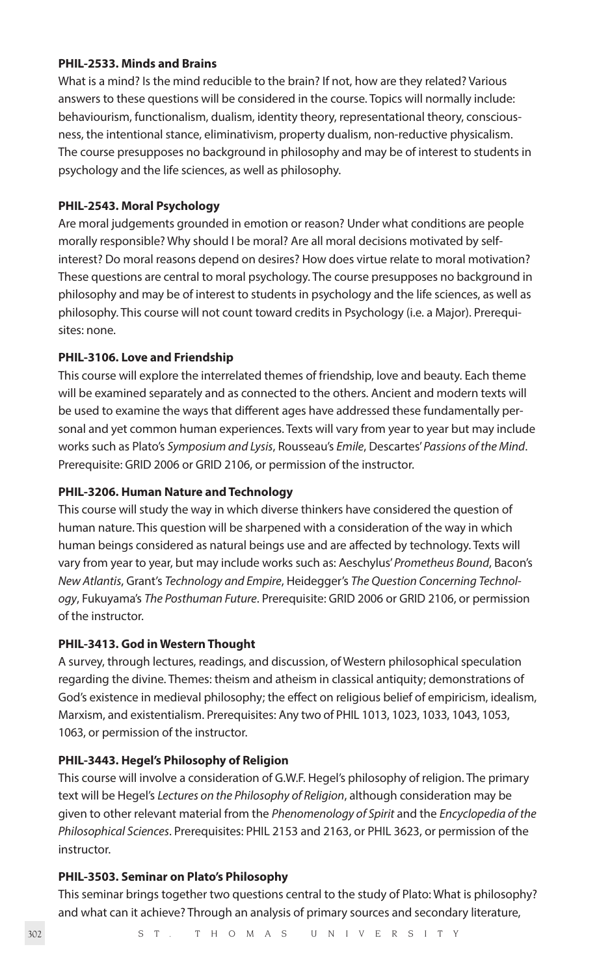#### **PHIL-2533. Minds and Brains**

What is a mind? Is the mind reducible to the brain? If not, how are they related? Various answers to these questions will be considered in the course. Topics will normally include: behaviourism, functionalism, dualism, identity theory, representational theory, consciousness, the intentional stance, eliminativism, property dualism, non-reductive physicalism. The course presupposes no background in philosophy and may be of interest to students in psychology and the life sciences, as well as philosophy.

#### **PHIL-2543. Moral Psychology**

Are moral judgements grounded in emotion or reason? Under what conditions are people morally responsible? Why should I be moral? Are all moral decisions motivated by selfinterest? Do moral reasons depend on desires? How does virtue relate to moral motivation? These questions are central to moral psychology. The course presupposes no background in philosophy and may be of interest to students in psychology and the life sciences, as well as philosophy. This course will not count toward credits in Psychology (i.e. a Major). Prerequisites: none.

#### **PHIL-3106. Love and Friendship**

This course will explore the interrelated themes of friendship, love and beauty. Each theme will be examined separately and as connected to the others. Ancient and modern texts will be used to examine the ways that different ages have addressed these fundamentally personal and yet common human experiences. Texts will vary from year to year but may include works such as Plato's *Symposium and Lysis*, Rousseau's *Emile*, Descartes' *Passions of the Mind*. Prerequisite: GRID 2006 or GRID 2106, or permission of the instructor.

#### **PHIL-3206. Human Nature and Technology**

This course will study the way in which diverse thinkers have considered the question of human nature. This question will be sharpened with a consideration of the way in which human beings considered as natural beings use and are affected by technology. Texts will vary from year to year, but may include works such as: Aeschylus' *Prometheus Bound*, Bacon's *New Atlantis*, Grant's *Technology and Empire*, Heidegger's *The Question Concerning Technology*, Fukuyama's *The Posthuman Future*. Prerequisite: GRID 2006 or GRID 2106, or permission of the instructor.

#### **PHIL-3413. God in Western Thought**

A survey, through lectures, readings, and discussion, of Western philosophical speculation regarding the divine. Themes: theism and atheism in classical antiquity; demonstrations of God's existence in medieval philosophy; the effect on religious belief of empiricism, idealism, Marxism, and existentialism. Prerequisites: Any two of PHIL 1013, 1023, 1033, 1043, 1053, 1063, or permission of the instructor.

#### **PHIL-3443. Hegel's Philosophy of Religion**

This course will involve a consideration of G.W.F. Hegel's philosophy of religion. The primary text will be Hegel's *Lectures on the Philosophy of Religion*, although consideration may be given to other relevant material from the *Phenomenology of Spirit* and the *Encyclopedia of the Philosophical Sciences*. Prerequisites: PHIL 2153 and 2163, or PHIL 3623, or permission of the instructor.

#### **PHIL-3503. Seminar on Plato's Philosophy**

This seminar brings together two questions central to the study of Plato: What is philosophy? and what can it achieve? Through an analysis of primary sources and secondary literature,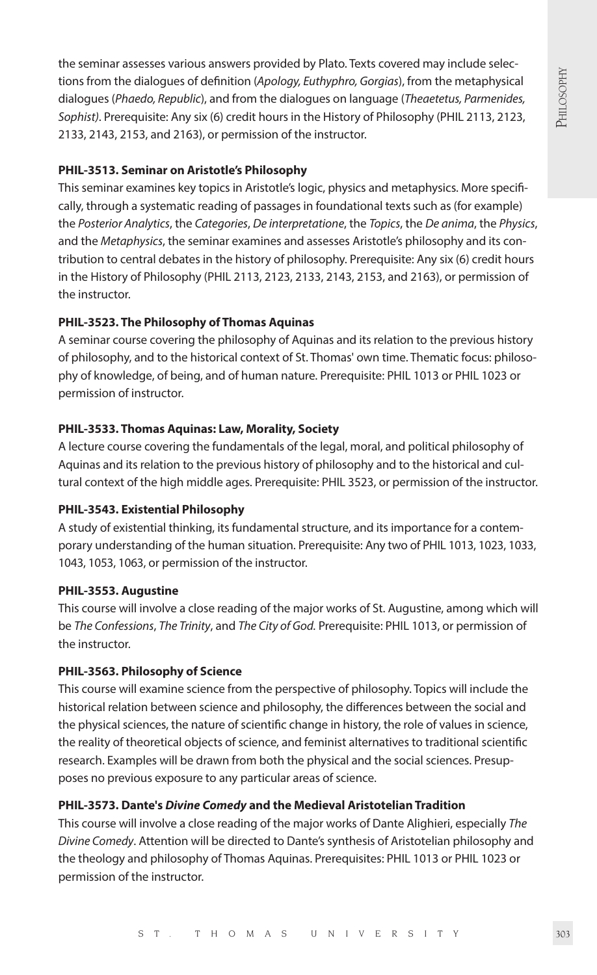the seminar assesses various answers provided by Plato. Texts covered may include selections from the dialogues of definition (*Apology, Euthyphro, Gorgias*), from the metaphysical dialogues (*Phaedo, Republic*), and from the dialogues on language (*Theaetetus, Parmenides, Sophist)*. Prerequisite: Any six (6) credit hours in the History of Philosophy (PHIL 2113, 2123, 2133, 2143, 2153, and 2163), or permission of the instructor.

### **PHIL-3513. Seminar on Aristotle's Philosophy**

This seminar examines key topics in Aristotle's logic, physics and metaphysics. More specifically, through a systematic reading of passages in foundational texts such as (for example) the *Posterior Analytics*, the *Categories*, *De interpretatione*, the *Topics*, the *De anima*, the *Physics*, and the *Metaphysics*, the seminar examines and assesses Aristotle's philosophy and its contribution to central debates in the history of philosophy. Prerequisite: Any six (6) credit hours in the History of Philosophy (PHIL 2113, 2123, 2133, 2143, 2153, and 2163), or permission of the instructor.

#### **PHIL-3523. The Philosophy of Thomas Aquinas**

A seminar course covering the philosophy of Aquinas and its relation to the previous history of philosophy, and to the historical context of St. Thomas' own time. Thematic focus: philosophy of knowledge, of being, and of human nature. Prerequisite: PHIL 1013 or PHIL 1023 or permission of instructor.

### **PHIL-3533. Thomas Aquinas: Law, Morality, Society**

A lecture course covering the fundamentals of the legal, moral, and political philosophy of Aquinas and its relation to the previous history of philosophy and to the historical and cultural context of the high middle ages. Prerequisite: PHIL 3523, or permission of the instructor.

#### **PHIL-3543. Existential Philosophy**

A study of existential thinking, its fundamental structure, and its importance for a contemporary understanding of the human situation. Prerequisite: Any two of PHIL 1013, 1023, 1033, 1043, 1053, 1063, or permission of the instructor.

#### **PHIL-3553. Augustine**

This course will involve a close reading of the major works of St. Augustine, among which will be *The Confessions*, *The Trinity*, and *The City of God.* Prerequisite: PHIL 1013, or permission of the instructor.

#### **PHIL-3563. Philosophy of Science**

This course will examine science from the perspective of philosophy. Topics will include the historical relation between science and philosophy, the differences between the social and the physical sciences, the nature of scientific change in history, the role of values in science, the reality of theoretical objects of science, and feminist alternatives to traditional scientific research. Examples will be drawn from both the physical and the social sciences. Presupposes no previous exposure to any particular areas of science.

# **PHIL-3573. Dante's** *Divine Comedy* **and the Medieval Aristotelian Tradition**

This course will involve a close reading of the major works of Dante Alighieri, especially *The Divine Comedy*. Attention will be directed to Dante's synthesis of Aristotelian philosophy and the theology and philosophy of Thomas Aquinas. Prerequisites: PHIL 1013 or PHIL 1023 or permission of the instructor.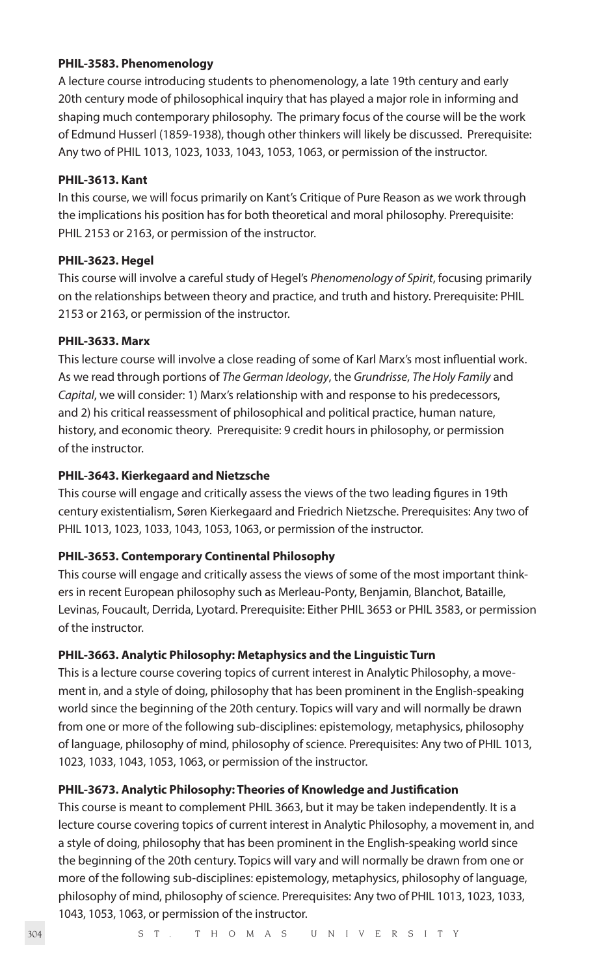#### **PHIL-3583. Phenomenology**

A lecture course introducing students to phenomenology, a late 19th century and early 20th century mode of philosophical inquiry that has played a major role in informing and shaping much contemporary philosophy. The primary focus of the course will be the work of Edmund Husserl (1859-1938), though other thinkers will likely be discussed. Prerequisite: Any two of PHIL 1013, 1023, 1033, 1043, 1053, 1063, or permission of the instructor.

#### **PHIL-3613. Kant**

In this course, we will focus primarily on Kant's Critique of Pure Reason as we work through the implications his position has for both theoretical and moral philosophy. Prerequisite: PHIL 2153 or 2163, or permission of the instructor.

#### **PHIL-3623. Hegel**

This course will involve a careful study of Hegel's *Phenomenology of Spirit*, focusing primarily on the relationships between theory and practice, and truth and history. Prerequisite: PHIL 2153 or 2163, or permission of the instructor.

#### **PHIL-3633. Marx**

This lecture course will involve a close reading of some of Karl Marx's most influential work. As we read through portions of *The German Ideology*, the *Grundrisse*, *The Holy Family* and *Capital*, we will consider: 1) Marx's relationship with and response to his predecessors, and 2) his critical reassessment of philosophical and political practice, human nature, history, and economic theory. Prerequisite: 9 credit hours in philosophy, or permission of the instructor.

#### **PHIL-3643. Kierkegaard and Nietzsche**

This course will engage and critically assess the views of the two leading figures in 19th century existentialism, Søren Kierkegaard and Friedrich Nietzsche. Prerequisites: Any two of PHIL 1013, 1023, 1033, 1043, 1053, 1063, or permission of the instructor.

#### **PHIL-3653. Contemporary Continental Philosophy**

This course will engage and critically assess the views of some of the most important thinkers in recent European philosophy such as Merleau-Ponty, Benjamin, Blanchot, Bataille, Levinas, Foucault, Derrida, Lyotard. Prerequisite: Either PHIL 3653 or PHIL 3583, or permission of the instructor.

#### **PHIL-3663. Analytic Philosophy: Metaphysics and the Linguistic Turn**

This is a lecture course covering topics of current interest in Analytic Philosophy, a movement in, and a style of doing, philosophy that has been prominent in the English-speaking world since the beginning of the 20th century. Topics will vary and will normally be drawn from one or more of the following sub-disciplines: epistemology, metaphysics, philosophy of language, philosophy of mind, philosophy of science. Prerequisites: Any two of PHIL 1013, 1023, 1033, 1043, 1053, 1063, or permission of the instructor.

#### **PHIL-3673. Analytic Philosophy: Theories of Knowledge and Justification**

This course is meant to complement PHIL 3663, but it may be taken independently. It is a lecture course covering topics of current interest in Analytic Philosophy, a movement in, and a style of doing, philosophy that has been prominent in the English-speaking world since the beginning of the 20th century. Topics will vary and will normally be drawn from one or more of the following sub-disciplines: epistemology, metaphysics, philosophy of language, philosophy of mind, philosophy of science. Prerequisites: Any two of PHIL 1013, 1023, 1033, 1043, 1053, 1063, or permission of the instructor.